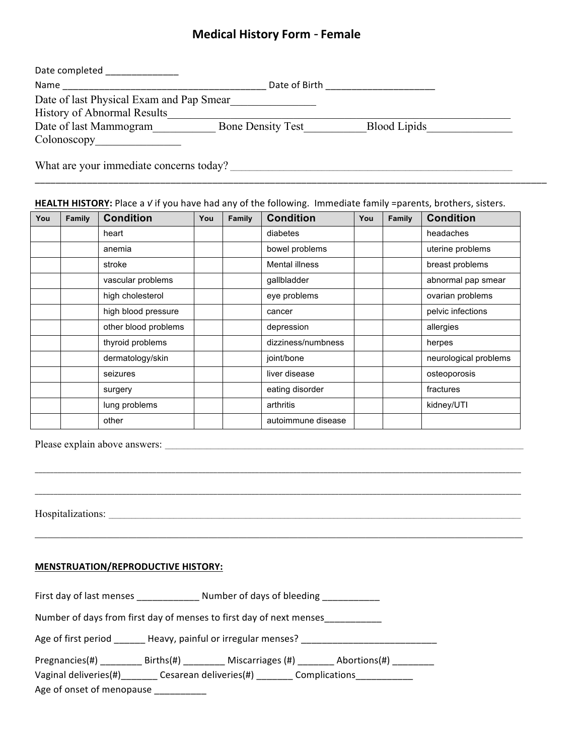# **Medical History Form** - **Female**

| Date completed                           |                          |                     |  |  |
|------------------------------------------|--------------------------|---------------------|--|--|
| Date of Birth<br>Name                    |                          |                     |  |  |
| Date of last Physical Exam and Pap Smear |                          |                     |  |  |
| <b>History of Abnormal Results</b>       |                          |                     |  |  |
| Date of last Mammogram                   | <b>Bone Density Test</b> | <b>Blood Lipids</b> |  |  |
| $\text{Colonoscopy}$                     |                          |                     |  |  |
|                                          |                          |                     |  |  |

What are your immediate concerns today? \_\_\_\_\_\_\_\_\_\_\_\_\_\_\_\_\_\_\_\_\_\_\_\_\_\_\_\_\_\_\_\_\_\_\_\_\_\_\_\_\_\_\_\_\_\_\_\_\_\_\_\_\_\_\_\_\_\_\_\_\_\_\_\_\_\_\_\_\_\_\_\_\_\_

#### **HEALTH HISTORY:** Place a *√* if you have had any of the following. Immediate family =parents, brothers, sisters.

\_\_\_\_\_\_\_\_\_\_\_\_\_\_\_\_\_\_\_\_\_\_\_\_\_\_\_\_\_\_\_\_\_\_\_\_\_\_\_\_\_\_\_\_\_\_\_\_\_\_\_\_\_\_\_\_\_\_\_\_\_\_\_\_\_\_\_\_\_\_\_\_\_\_\_\_\_\_\_\_\_\_\_\_\_\_\_\_\_\_\_\_\_\_\_\_\_\_

| You | Family | <b>Condition</b>     | You | Family | <b>Condition</b>   | You | Family | <b>Condition</b>      |
|-----|--------|----------------------|-----|--------|--------------------|-----|--------|-----------------------|
|     |        | heart                |     |        | diabetes           |     |        | headaches             |
|     |        | anemia               |     |        | bowel problems     |     |        | uterine problems      |
|     |        | stroke               |     |        | Mental illness     |     |        | breast problems       |
|     |        | vascular problems    |     |        | gallbladder        |     |        | abnormal pap smear    |
|     |        | high cholesterol     |     |        | eye problems       |     |        | ovarian problems      |
|     |        | high blood pressure  |     |        | cancer             |     |        | pelvic infections     |
|     |        | other blood problems |     |        | depression         |     |        | allergies             |
|     |        | thyroid problems     |     |        | dizziness/numbness |     |        | herpes                |
|     |        | dermatology/skin     |     |        | joint/bone         |     |        | neurological problems |
|     |        | seizures             |     |        | liver disease      |     |        | osteoporosis          |
|     |        | surgery              |     |        | eating disorder    |     |        | fractures             |
|     |        | lung problems        |     |        | arthritis          |     |        | kidney/UTI            |
|     |        | other                |     |        | autoimmune disease |     |        |                       |

\_\_\_\_\_\_\_\_\_\_\_\_\_\_\_\_\_\_\_\_\_\_\_\_\_\_\_\_\_\_\_\_\_\_\_\_\_\_\_\_\_\_\_\_\_\_\_\_\_\_\_\_\_\_\_\_\_\_\_\_\_\_\_\_\_\_\_\_\_\_\_\_\_\_\_\_\_\_\_\_\_\_\_\_\_\_\_\_\_\_\_\_\_\_\_\_\_\_\_\_\_\_\_\_\_\_\_\_\_\_\_\_\_\_\_\_\_\_\_\_\_\_\_\_\_\_\_\_

\_\_\_\_\_\_\_\_\_\_\_\_\_\_\_\_\_\_\_\_\_\_\_\_\_\_\_\_\_\_\_\_\_\_\_\_\_\_\_\_\_\_\_\_\_\_\_\_\_\_\_\_\_\_\_\_\_\_\_\_\_\_\_\_\_\_\_\_\_\_\_\_\_\_\_\_\_\_\_\_\_\_\_\_\_\_\_\_\_\_\_\_\_\_\_\_\_\_\_\_\_\_\_\_\_\_\_\_\_\_\_\_\_\_\_\_\_\_\_\_\_\_\_\_\_\_\_\_

 $\_$  ,  $\_$  ,  $\_$  ,  $\_$  ,  $\_$  ,  $\_$  ,  $\_$  ,  $\_$  ,  $\_$  ,  $\_$  ,  $\_$  ,  $\_$  ,  $\_$  ,  $\_$  ,  $\_$  ,  $\_$  ,  $\_$  ,  $\_$  ,  $\_$  ,  $\_$  ,  $\_$  ,  $\_$  ,  $\_$  ,  $\_$  ,  $\_$  ,  $\_$  ,  $\_$  ,  $\_$  ,  $\_$  ,  $\_$  ,  $\_$  ,  $\_$  ,  $\_$  ,  $\_$  ,  $\_$  ,  $\_$  ,  $\_$  ,

Please explain above answers: \_\_\_\_\_\_\_\_\_\_\_\_\_\_\_\_\_\_\_\_\_\_\_\_\_\_\_\_\_\_\_\_\_\_\_\_\_\_\_\_\_\_\_\_\_\_\_\_\_\_\_\_\_\_\_\_\_\_\_\_\_\_\_\_\_\_\_\_\_\_\_\_\_\_\_\_\_\_\_\_\_\_\_\_\_\_\_\_\_\_\_\_\_\_

Hospitalizations: \_\_\_\_\_\_\_\_\_\_\_\_\_\_\_\_\_\_\_\_\_\_\_\_\_\_\_\_\_\_\_\_\_\_\_\_\_\_\_\_\_\_\_\_\_\_\_\_\_\_\_\_\_\_\_\_\_\_\_\_\_\_\_\_\_\_\_\_\_\_\_\_\_\_\_\_\_\_\_\_\_\_\_\_\_\_\_\_\_\_\_\_\_\_\_\_\_\_\_\_\_\_\_\_\_\_\_\_

#### **MENSTRUATION/REPRODUCTIVE HISTORY:**

First day of last menses \_\_\_\_\_\_\_\_\_\_\_\_\_\_ Number of days of bleeding \_\_\_\_\_\_\_\_\_\_\_\_\_

Number of days from first day of menses to first day of next menses\_\_\_\_\_\_\_\_\_\_\_\_

| Heavy, painful or irregular menses?<br>Age of first period _ |  |
|--------------------------------------------------------------|--|
|--------------------------------------------------------------|--|

| Pregnancies(#) | $Births(\#)$ | Miscarriages (#) | Abortions(#) |
|----------------|--------------|------------------|--------------|
|----------------|--------------|------------------|--------------|

Vaginal deliveries(#)\_\_\_\_\_\_\_ Cesarean deliveries(#) \_\_\_\_\_\_\_ Complications\_\_\_\_\_\_\_\_

Age of onset of menopause \_\_\_\_\_\_\_\_\_\_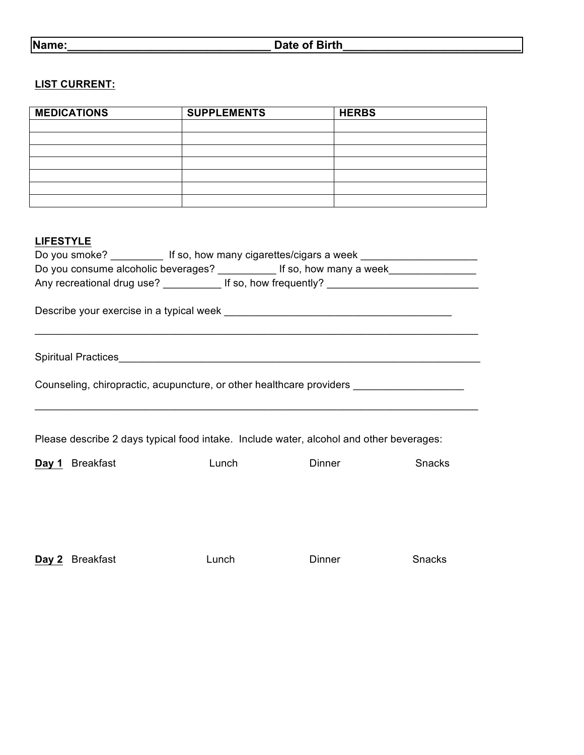## **LIST CURRENT:**

| <b>MEDICATIONS</b> | <b>SUPPLEMENTS</b> | <b>HERBS</b> |
|--------------------|--------------------|--------------|
|                    |                    |              |
|                    |                    |              |
|                    |                    |              |
|                    |                    |              |
|                    |                    |              |
|                    |                    |              |
|                    |                    |              |

## **LIFESTYLE**

| Do you smoke? _____________ If so, how many cigarettes/cigars a week _______________________________ |                            |                      |        |  |
|------------------------------------------------------------------------------------------------------|----------------------------|----------------------|--------|--|
| Do you consume alcoholic beverages? ____________ If so, how many a week_______________               |                            |                      |        |  |
|                                                                                                      |                            |                      |        |  |
|                                                                                                      |                            |                      |        |  |
|                                                                                                      |                            |                      |        |  |
| Counseling, chiropractic, acupuncture, or other healthcare providers ____________                    |                            |                      |        |  |
| Please describe 2 days typical food intake. Include water, alcohol and other beverages:              |                            |                      |        |  |
| Day 1 Breakfast                                                                                      | <b>Lunch Exercise 1999</b> | <b>Dinner Dinner</b> | Snacks |  |
|                                                                                                      |                            |                      |        |  |
|                                                                                                      |                            |                      |        |  |
|                                                                                                      |                            |                      |        |  |

**Day 2** Breakfast **Lunch Dinner** Snacks